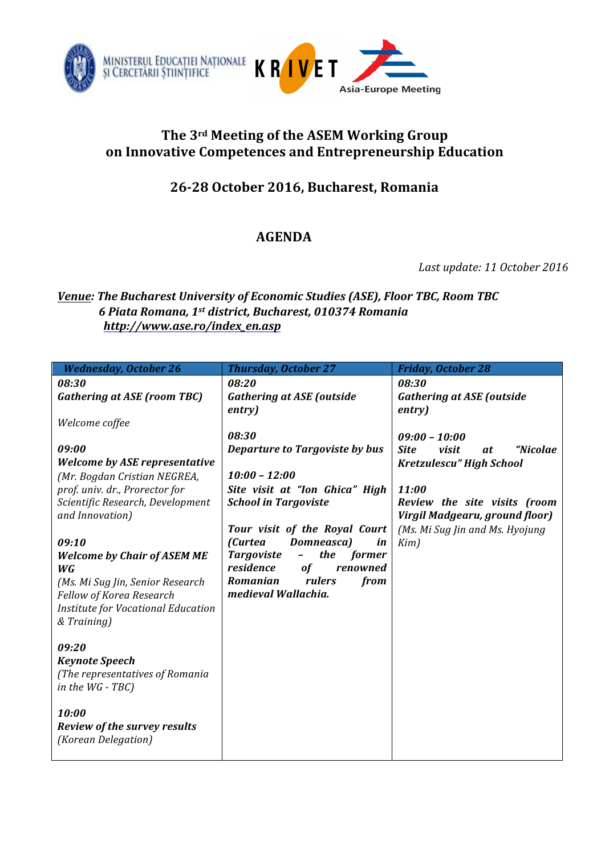

## The 3<sup>rd</sup> Meeting of the ASEM Working Group on Innovative Competences and Entrepreneurship Education

## **26-28 October 2016, Bucharest, Romania**

## **AGENDA**

Last update: 11 October 2016

## *Venue: The Bucharest University of Economic Studies (ASE), Floor TBC, Room TBC 6 Piata Romana, 1st district, Bucharest, 010374 Romania http://www.ase.ro/index\_en.asp*

| <b>Wednesday, October 26</b>                        | <b>Thursday, October 27</b>        | <b>Friday, October 28</b>                                      |
|-----------------------------------------------------|------------------------------------|----------------------------------------------------------------|
| 08:30                                               | 08:20                              | 08:30                                                          |
| <b>Gathering at ASE (room TBC)</b>                  | <b>Gathering at ASE (outside</b>   | <b>Gathering at ASE (outside</b>                               |
|                                                     | entry)                             | entry)                                                         |
| Welcome coffee                                      |                                    |                                                                |
|                                                     | 08:30                              | $09:00 - 10:00$                                                |
| 09:00                                               | Departure to Targoviste by bus     | <b>Site</b><br>visit<br>"Nicolae<br>at                         |
| <b>Welcome by ASE representative</b>                |                                    | Kretzulescu" High School                                       |
| (Mr. Bogdan Cristian NEGREA,                        | $10:00 - 12:00$                    |                                                                |
| prof. univ. dr., Prorector for                      | Site visit at "Ion Ghica" High     | 11:00                                                          |
| Scientific Research, Development<br>and Innovation) | <b>School in Targoviste</b>        | Review the site visits (room<br>Virgil Madgearu, ground floor) |
|                                                     | Tour visit of the Royal Court      | (Ms. Mi Sug Jin and Ms. Hyojung                                |
| 09:10                                               | <i>(Curtea</i><br>Domneasca)<br>in | Kim)                                                           |
| <b>Welcome by Chair of ASEM ME</b>                  | the<br><b>Targoviste</b><br>former |                                                                |
| WG                                                  | residence<br><b>of</b><br>renowned |                                                                |
| (Ms. Mi Sug Jin, Senior Research                    | Romanian<br>from<br>rulers         |                                                                |
| Fellow of Korea Research                            | medieval Wallachia.                |                                                                |
| Institute for Vocational Education                  |                                    |                                                                |
| & Training)                                         |                                    |                                                                |
|                                                     |                                    |                                                                |
| 09:20                                               |                                    |                                                                |
| <b>Keynote Speech</b>                               |                                    |                                                                |
| (The representatives of Romania                     |                                    |                                                                |
| in the $WG - TBC$ )                                 |                                    |                                                                |
| 10:00                                               |                                    |                                                                |
| <b>Review of the survey results</b>                 |                                    |                                                                |
| (Korean Delegation)                                 |                                    |                                                                |
|                                                     |                                    |                                                                |